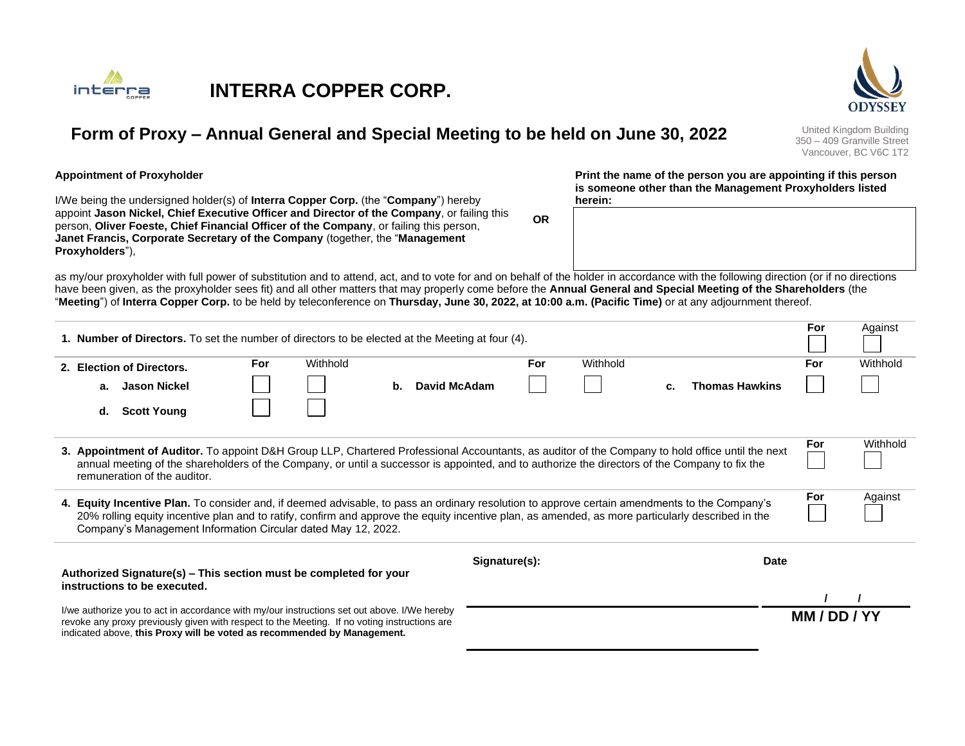



350 – 409 Granville Street Vancouver, BC V6C 1T2

**For** Against

#### **Appointment of Proxyholder**

I/We being the undersigned holder(s) of **Interra Copper Corp.** (the "**Company**") hereby appoint **Jason Nickel, Chief Executive Officer and Director of the Company**, or failing this person, **Oliver Foeste, Chief Financial Officer of the Company**, or failing this person, **Janet Francis, Corporate Secretary of the Company** (together, the "**Management Proxyholders**"),

indicated above, **this Proxy will be voted as recommended by Management.**

**Print the name of the person you are appointing if this person is someone other than the Management Proxyholders listed herein:**

as my/our proxyholder with full power of substitution and to attend, act, and to vote for and on behalf of the holder in accordance with the following direction (or if no directions have been given, as the proxyholder sees fit) and all other matters that may properly come before the **Annual General and Special Meeting of the Shareholders** (the "**Meeting**") of **Interra Copper Corp.** to be held by teleconference on **Thursday, June 30, 2022, at 10:00 a.m. (Pacific Time)** or at any adjournment thereof.

**OR**

| <b>1. Number of Directors.</b> To set the number of directors to be elected at the Meeting at four (4).                                                                                                                                                                                                                                                             |                                                                                                   |            |          |                    |     |          |    |                       | ror | Against  |  |
|---------------------------------------------------------------------------------------------------------------------------------------------------------------------------------------------------------------------------------------------------------------------------------------------------------------------------------------------------------------------|---------------------------------------------------------------------------------------------------|------------|----------|--------------------|-----|----------|----|-----------------------|-----|----------|--|
|                                                                                                                                                                                                                                                                                                                                                                     | 2. Election of Directors.                                                                         | <b>For</b> | Withhold |                    | For | Withhold |    |                       | For | Withhold |  |
|                                                                                                                                                                                                                                                                                                                                                                     | a. Jason Nickel                                                                                   |            |          | David McAdam<br>b. |     |          | c. | <b>Thomas Hawkins</b> |     |          |  |
|                                                                                                                                                                                                                                                                                                                                                                     | <b>Scott Young</b><br>d.                                                                          |            |          |                    |     |          |    |                       |     |          |  |
| 3. Appointment of Auditor. To appoint D&H Group LLP, Chartered Professional Accountants, as auditor of the Company to hold office until the next<br>annual meeting of the shareholders of the Company, or until a successor is appointed, and to authorize the directors of the Company to fix the<br>remuneration of the auditor.                                  |                                                                                                   |            |          |                    |     |          |    |                       | For | Withhold |  |
| 4. Equity Incentive Plan. To consider and, if deemed advisable, to pass an ordinary resolution to approve certain amendments to the Company's<br>20% rolling equity incentive plan and to ratify, confirm and approve the equity incentive plan, as amended, as more particularly described in the<br>Company's Management Information Circular dated May 12, 2022. |                                                                                                   |            |          |                    |     |          |    |                       |     | Against  |  |
| Signature(s):<br><b>Date</b>                                                                                                                                                                                                                                                                                                                                        |                                                                                                   |            |          |                    |     |          |    |                       |     |          |  |
|                                                                                                                                                                                                                                                                                                                                                                     | Authorized Signature(s) – This section must be completed for your<br>instructions to be executed. |            |          |                    |     |          |    |                       |     |          |  |
| I/we authorize you to act in accordance with my/our instructions set out above. I/We hereby<br>revoke any proxy previously given with respect to the Meeting. If no voting instructions are                                                                                                                                                                         |                                                                                                   |            |          |                    |     |          |    |                       |     | MM/DD/YY |  |